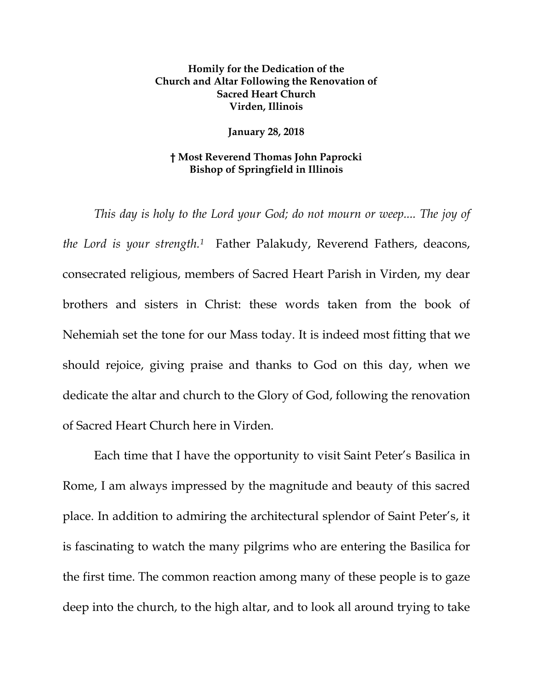## **Homily for the Dedication of the Church and Altar Following the Renovation of Sacred Heart Church Virden, Illinois**

**January 28, 2018**

## **† Most Reverend Thomas John Paprocki Bishop of Springfield in Illinois**

*This day is holy to the Lord your God; do not mourn or weep.... The joy of the Lord is your strength.[1](#page-5-0)* Father Palakudy, Reverend Fathers, deacons, consecrated religious, members of Sacred Heart Parish in Virden, my dear brothers and sisters in Christ: these words taken from the book of Nehemiah set the tone for our Mass today. It is indeed most fitting that we should rejoice, giving praise and thanks to God on this day, when we dedicate the altar and church to the Glory of God, following the renovation of Sacred Heart Church here in Virden.

Each time that I have the opportunity to visit Saint Peter's Basilica in Rome, I am always impressed by the magnitude and beauty of this sacred place. In addition to admiring the architectural splendor of Saint Peter's, it is fascinating to watch the many pilgrims who are entering the Basilica for the first time. The common reaction among many of these people is to gaze deep into the church, to the high altar, and to look all around trying to take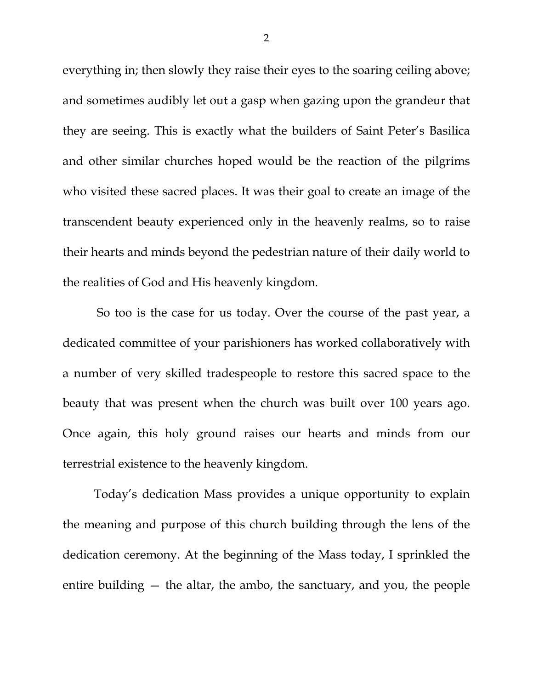everything in; then slowly they raise their eyes to the soaring ceiling above; and sometimes audibly let out a gasp when gazing upon the grandeur that they are seeing. This is exactly what the builders of Saint Peter's Basilica and other similar churches hoped would be the reaction of the pilgrims who visited these sacred places. It was their goal to create an image of the transcendent beauty experienced only in the heavenly realms, so to raise their hearts and minds beyond the pedestrian nature of their daily world to the realities of God and His heavenly kingdom.

So too is the case for us today. Over the course of the past year, a dedicated committee of your parishioners has worked collaboratively with a number of very skilled tradespeople to restore this sacred space to the beauty that was present when the church was built over 100 years ago. Once again, this holy ground raises our hearts and minds from our terrestrial existence to the heavenly kingdom.

Today's dedication Mass provides a unique opportunity to explain the meaning and purpose of this church building through the lens of the dedication ceremony. At the beginning of the Mass today, I sprinkled the entire building — the altar, the ambo, the sanctuary, and you, the people

2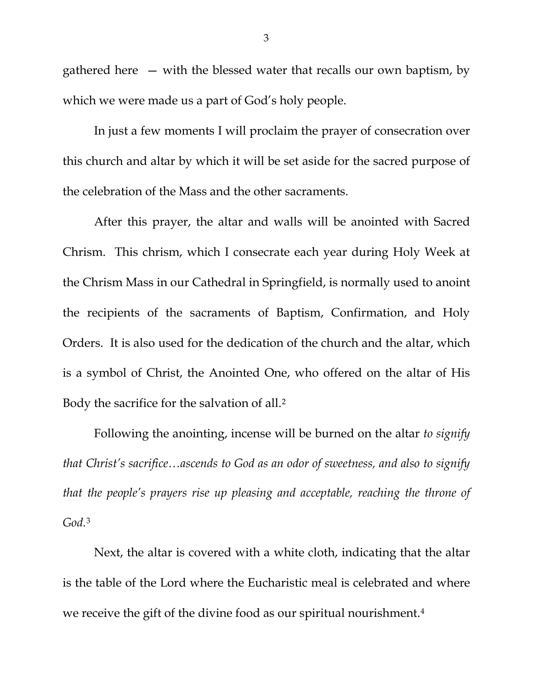gathered here — with the blessed water that recalls our own baptism, by which we were made us a part of God's holy people.

In just a few moments I will proclaim the prayer of consecration over this church and altar by which it will be set aside for the sacred purpose of the celebration of the Mass and the other sacraments.

After this prayer, the altar and walls will be anointed with Sacred Chrism. This chrism, which I consecrate each year during Holy Week at the Chrism Mass in our Cathedral in Springfield, is normally used to anoint the recipients of the sacraments of Baptism, Confirmation, and Holy Orders. It is also used for the dedication of the church and the altar, which is a symbol of Christ, the Anointed One, who offered on the altar of His Body the sacrifice for the salvation of all.[2](#page-5-1)

Following the anointing, incense will be burned on the altar *to signify that Christ's sacrifice…ascends to God as an odor of sweetness, and also to signify that the people's prayers rise up pleasing and acceptable, reaching the throne of God.*[3](#page-5-2)

Next, the altar is covered with a white cloth, indicating that the altar is the table of the Lord where the Eucharistic meal is celebrated and where we receive the gift of the divine food as our spiritual nourishment.[4](#page-5-3)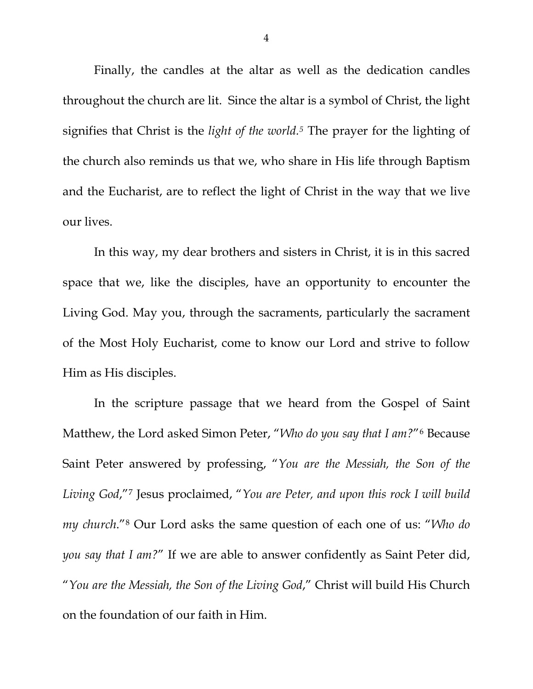Finally, the candles at the altar as well as the dedication candles throughout the church are lit. Since the altar is a symbol of Christ, the light signifies that Christ is the *light of the world.[5](#page-5-4)* The prayer for the lighting of the church also reminds us that we, who share in His life through Baptism and the Eucharist, are to reflect the light of Christ in the way that we live our lives.

In this way, my dear brothers and sisters in Christ, it is in this sacred space that we, like the disciples, have an opportunity to encounter the Living God. May you, through the sacraments, particularly the sacrament of the Most Holy Eucharist, come to know our Lord and strive to follow Him as His disciples.

In the scripture passage that we heard from the Gospel of Saint Matthew, the Lord asked Simon Peter, "*Who do you say that I am?*"[6](#page-5-5) Because Saint Peter answered by professing, "*You are the Messiah, the Son of the Living God*,"[7](#page-5-6) Jesus proclaimed, "*You are Peter, and upon this rock I will build my church*.["8](#page-5-7) Our Lord asks the same question of each one of us: "*Who do you say that I am?*" If we are able to answer confidently as Saint Peter did, "*You are the Messiah, the Son of the Living God*," Christ will build His Church on the foundation of our faith in Him.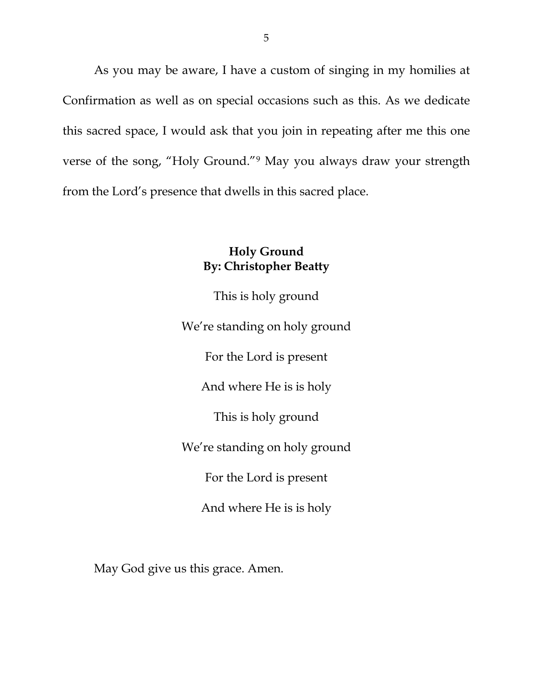As you may be aware, I have a custom of singing in my homilies at Confirmation as well as on special occasions such as this. As we dedicate this sacred space, I would ask that you join in repeating after me this one verse of the song, "Holy Ground."[9](#page-5-8) May you always draw your strength from the Lord's presence that dwells in this sacred place.

## **Holy Ground By: Christopher Beatty**

This is holy ground We're standing on holy ground For the Lord is present And where He is is holy This is holy ground We're standing on holy ground For the Lord is present And where He is is holy

May God give us this grace. Amen.